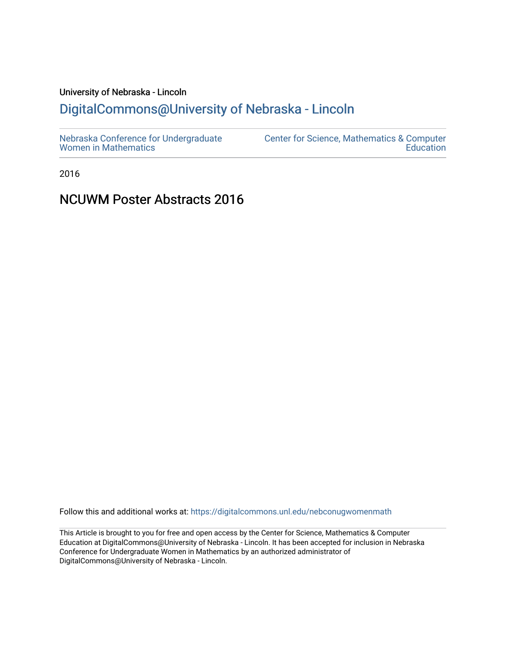# University of Nebraska - Lincoln

# [DigitalCommons@University of Nebraska - Lincoln](https://digitalcommons.unl.edu/)

2016

# NCUWM Poster Abstracts 2016

Follow this and additional works at: [https://digitalcommons.unl.edu/nebconugwomenmath](https://digitalcommons.unl.edu/nebconugwomenmath?utm_source=digitalcommons.unl.edu%2Fnebconugwomenmath%2F21&utm_medium=PDF&utm_campaign=PDFCoverPages)

This Article is brought to you for free and open access by the Center for Science, Mathematics & Computer Education at DigitalCommons@University of Nebraska - Lincoln. It has been accepted for inclusion in Nebraska Conference for Undergraduate Women in Mathematics by an authorized administrator of DigitalCommons@University of Nebraska - Lincoln.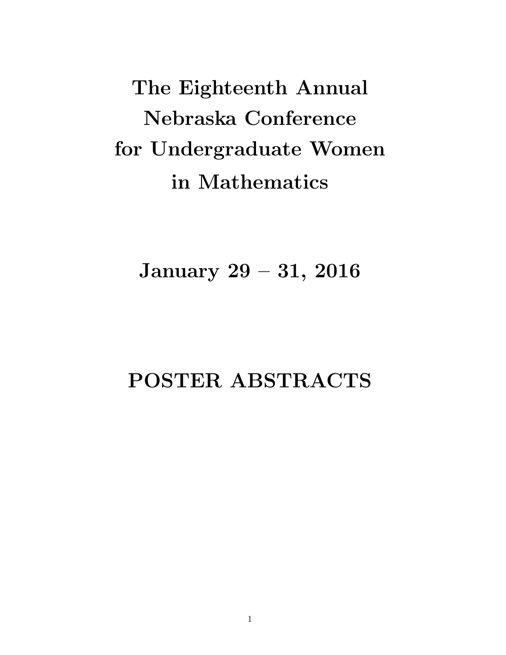The Eighteenth Annual Nebraska Conference for Undergraduate Women in Mathematics

January 29 – 31, 2016

# POSTER ABSTRACTS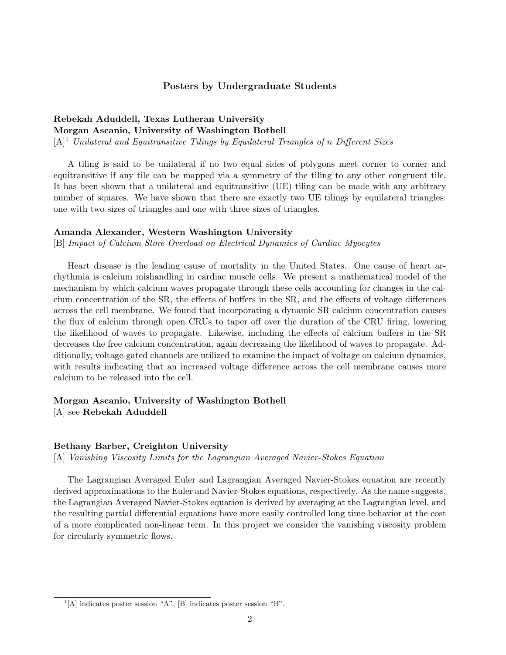#### Posters by Undergraduate Students

# Rebekah Aduddell, Texas Lutheran University Morgan Ascanio, University of Washington Bothell

 $[A]^1$  Unilateral and Equitransitive Tilings by Equilateral Triangles of n Different Sizes

A tiling is said to be unilateral if no two equal sides of polygons meet corner to corner and equitransitive if any tile can be mapped via a symmetry of the tiling to any other congruent tile. It has been shown that a unilateral and equitransitive (UE) tiling can be made with any arbitrary number of squares. We have shown that there are exactly two UE tilings by equilateral triangles: one with two sizes of triangles and one with three sizes of triangles.

#### Amanda Alexander, Western Washington University

[B] Impact of Calcium Store Overload on Electrical Dynamics of Cardiac Myocytes

Heart disease is the leading cause of mortality in the United States. One cause of heart arrhythmia is calcium mishandling in cardiac muscle cells. We present a mathematical model of the mechanism by which calcium waves propagate through these cells accounting for changes in the calcium concentration of the SR, the effects of buffers in the SR, and the effects of voltage differences across the cell membrane. We found that incorporating a dynamic SR calcium concentration causes the flux of calcium through open CRUs to taper off over the duration of the CRU firing, lowering the likelihood of waves to propagate. Likewise, including the effects of calcium buffers in the SR decreases the free calcium concentration, again decreasing the likelihood of waves to propagate. Additionally, voltage-gated channels are utilized to examine the impact of voltage on calcium dynamics, with results indicating that an increased voltage difference across the cell membrane causes more calcium to be released into the cell.

## Morgan Ascanio, University of Washington Bothell [A] see Rebekah Aduddell

#### Bethany Barber, Creighton University

[A] Vanishing Viscosity Limits for the Lagrangian Averaged Navier-Stokes Equation

The Lagrangian Averaged Euler and Lagrangian Averaged Navier-Stokes equation are recently derived approximations to the Euler and Navier-Stokes equations, respectively. As the name suggests, the Lagrangian Averaged Navier-Stokes equation is derived by averaging at the Lagrangian level, and the resulting partial differential equations have more easily controlled long time behavior at the cost of a more complicated non-linear term. In this project we consider the vanishing viscosity problem for circularly symmetric flows.

 $<sup>1</sup>[A]$  indicates poster session "A", [B] indicates poster session "B".</sup>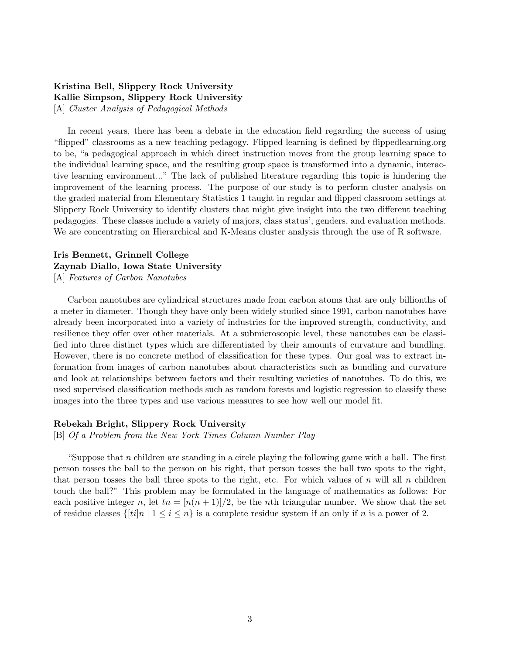## Kristina Bell, Slippery Rock University Kallie Simpson, Slippery Rock University [A] Cluster Analysis of Pedagogical Methods

In recent years, there has been a debate in the education field regarding the success of using "flipped" classrooms as a new teaching pedagogy. Flipped learning is defined by flippedlearning.org to be, "a pedagogical approach in which direct instruction moves from the group learning space to the individual learning space, and the resulting group space is transformed into a dynamic, interactive learning environment..." The lack of published literature regarding this topic is hindering the improvement of the learning process. The purpose of our study is to perform cluster analysis on the graded material from Elementary Statistics 1 taught in regular and flipped classroom settings at Slippery Rock University to identify clusters that might give insight into the two different teaching pedagogies. These classes include a variety of majors, class status', genders, and evaluation methods. We are concentrating on Hierarchical and K-Means cluster analysis through the use of R software.

# Iris Bennett, Grinnell College Zaynab Diallo, Iowa State University

[A] Features of Carbon Nanotubes

Carbon nanotubes are cylindrical structures made from carbon atoms that are only billionths of a meter in diameter. Though they have only been widely studied since 1991, carbon nanotubes have already been incorporated into a variety of industries for the improved strength, conductivity, and resilience they offer over other materials. At a submicroscopic level, these nanotubes can be classified into three distinct types which are differentiated by their amounts of curvature and bundling. However, there is no concrete method of classification for these types. Our goal was to extract information from images of carbon nanotubes about characteristics such as bundling and curvature and look at relationships between factors and their resulting varieties of nanotubes. To do this, we used supervised classification methods such as random forests and logistic regression to classify these images into the three types and use various measures to see how well our model fit.

#### Rebekah Bright, Slippery Rock University

[B] Of a Problem from the New York Times Column Number Play

"Suppose that n children are standing in a circle playing the following game with a ball. The first person tosses the ball to the person on his right, that person tosses the ball two spots to the right, that person tosses the ball three spots to the right, etc. For which values of n will all n children touch the ball?" This problem may be formulated in the language of mathematics as follows: For each positive integer n, let  $tn = (n(n+1))/2$ , be the nth triangular number. We show that the set of residue classes  $\{[ti]_n \mid 1 \le i \le n\}$  is a complete residue system if an only if n is a power of 2.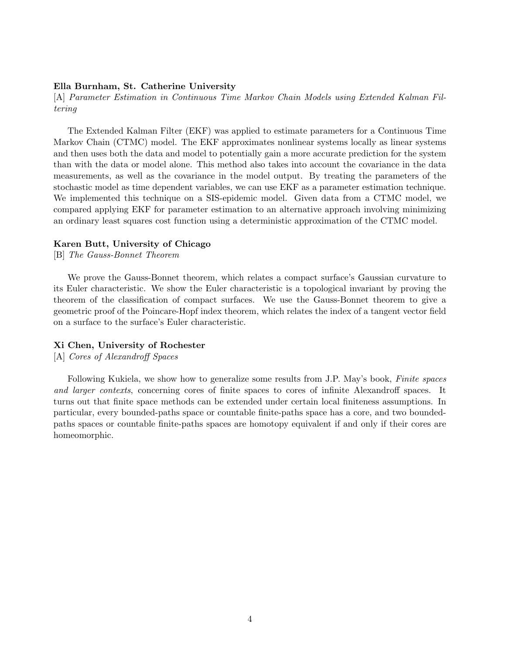#### Ella Burnham, St. Catherine University

[A] Parameter Estimation in Continuous Time Markov Chain Models using Extended Kalman Filtering

The Extended Kalman Filter (EKF) was applied to estimate parameters for a Continuous Time Markov Chain (CTMC) model. The EKF approximates nonlinear systems locally as linear systems and then uses both the data and model to potentially gain a more accurate prediction for the system than with the data or model alone. This method also takes into account the covariance in the data measurements, as well as the covariance in the model output. By treating the parameters of the stochastic model as time dependent variables, we can use EKF as a parameter estimation technique. We implemented this technique on a SIS-epidemic model. Given data from a CTMC model, we compared applying EKF for parameter estimation to an alternative approach involving minimizing an ordinary least squares cost function using a deterministic approximation of the CTMC model.

#### Karen Butt, University of Chicago

[B] The Gauss-Bonnet Theorem

We prove the Gauss-Bonnet theorem, which relates a compact surface's Gaussian curvature to its Euler characteristic. We show the Euler characteristic is a topological invariant by proving the theorem of the classification of compact surfaces. We use the Gauss-Bonnet theorem to give a geometric proof of the Poincare-Hopf index theorem, which relates the index of a tangent vector field on a surface to the surface's Euler characteristic.

#### Xi Chen, University of Rochester

[A] Cores of Alexandroff Spaces

Following Kukiela, we show how to generalize some results from J.P. May's book, *Finite spaces* and larger contexts, concerning cores of finite spaces to cores of infinite Alexandroff spaces. It turns out that finite space methods can be extended under certain local finiteness assumptions. In particular, every bounded-paths space or countable finite-paths space has a core, and two boundedpaths spaces or countable finite-paths spaces are homotopy equivalent if and only if their cores are homeomorphic.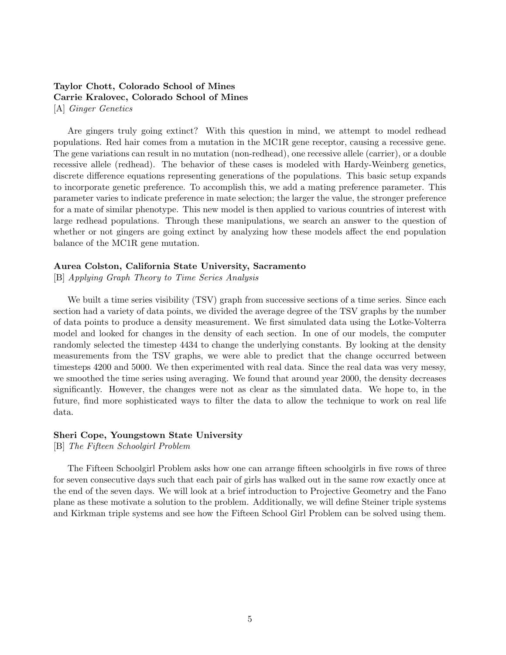## Taylor Chott, Colorado School of Mines Carrie Kralovec, Colorado School of Mines [A] Ginger Genetics

Are gingers truly going extinct? With this question in mind, we attempt to model redhead populations. Red hair comes from a mutation in the MC1R gene receptor, causing a recessive gene. The gene variations can result in no mutation (non-redhead), one recessive allele (carrier), or a double recessive allele (redhead). The behavior of these cases is modeled with Hardy-Weinberg genetics, discrete difference equations representing generations of the populations. This basic setup expands to incorporate genetic preference. To accomplish this, we add a mating preference parameter. This parameter varies to indicate preference in mate selection; the larger the value, the stronger preference for a mate of similar phenotype. This new model is then applied to various countries of interest with large redhead populations. Through these manipulations, we search an answer to the question of whether or not gingers are going extinct by analyzing how these models affect the end population balance of the MC1R gene mutation.

#### Aurea Colston, California State University, Sacramento

[B] Applying Graph Theory to Time Series Analysis

We built a time series visibility (TSV) graph from successive sections of a time series. Since each section had a variety of data points, we divided the average degree of the TSV graphs by the number of data points to produce a density measurement. We first simulated data using the Lotke-Volterra model and looked for changes in the density of each section. In one of our models, the computer randomly selected the timestep 4434 to change the underlying constants. By looking at the density measurements from the TSV graphs, we were able to predict that the change occurred between timesteps 4200 and 5000. We then experimented with real data. Since the real data was very messy, we smoothed the time series using averaging. We found that around year 2000, the density decreases significantly. However, the changes were not as clear as the simulated data. We hope to, in the future, find more sophisticated ways to filter the data to allow the technique to work on real life data.

#### Sheri Cope, Youngstown State University

[B] The Fifteen Schoolgirl Problem

The Fifteen Schoolgirl Problem asks how one can arrange fifteen schoolgirls in five rows of three for seven consecutive days such that each pair of girls has walked out in the same row exactly once at the end of the seven days. We will look at a brief introduction to Projective Geometry and the Fano plane as these motivate a solution to the problem. Additionally, we will define Steiner triple systems and Kirkman triple systems and see how the Fifteen School Girl Problem can be solved using them.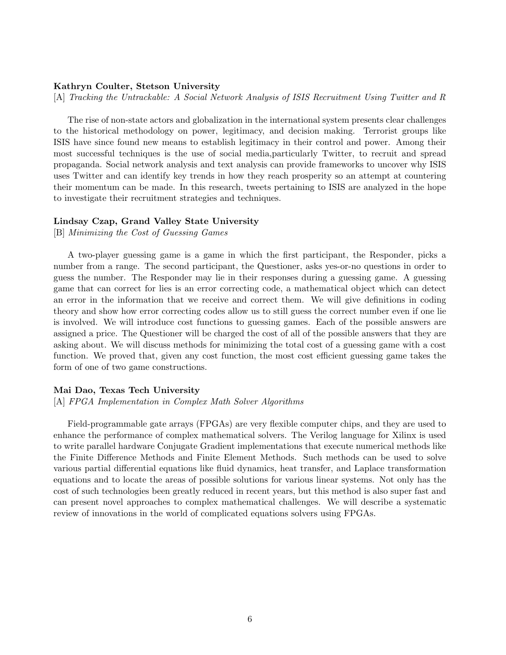#### Kathryn Coulter, Stetson University

[A] Tracking the Untrackable: A Social Network Analysis of ISIS Recruitment Using Twitter and R

The rise of non-state actors and globalization in the international system presents clear challenges to the historical methodology on power, legitimacy, and decision making. Terrorist groups like ISIS have since found new means to establish legitimacy in their control and power. Among their most successful techniques is the use of social media,particularly Twitter, to recruit and spread propaganda. Social network analysis and text analysis can provide frameworks to uncover why ISIS uses Twitter and can identify key trends in how they reach prosperity so an attempt at countering their momentum can be made. In this research, tweets pertaining to ISIS are analyzed in the hope to investigate their recruitment strategies and techniques.

#### Lindsay Czap, Grand Valley State University

[B] Minimizing the Cost of Guessing Games

A two-player guessing game is a game in which the first participant, the Responder, picks a number from a range. The second participant, the Questioner, asks yes-or-no questions in order to guess the number. The Responder may lie in their responses during a guessing game. A guessing game that can correct for lies is an error correcting code, a mathematical object which can detect an error in the information that we receive and correct them. We will give definitions in coding theory and show how error correcting codes allow us to still guess the correct number even if one lie is involved. We will introduce cost functions to guessing games. Each of the possible answers are assigned a price. The Questioner will be charged the cost of all of the possible answers that they are asking about. We will discuss methods for minimizing the total cost of a guessing game with a cost function. We proved that, given any cost function, the most cost efficient guessing game takes the form of one of two game constructions.

#### Mai Dao, Texas Tech University

[A] FPGA Implementation in Complex Math Solver Algorithms

Field-programmable gate arrays (FPGAs) are very flexible computer chips, and they are used to enhance the performance of complex mathematical solvers. The Verilog language for Xilinx is used to write parallel hardware Conjugate Gradient implementations that execute numerical methods like the Finite Difference Methods and Finite Element Methods. Such methods can be used to solve various partial differential equations like fluid dynamics, heat transfer, and Laplace transformation equations and to locate the areas of possible solutions for various linear systems. Not only has the cost of such technologies been greatly reduced in recent years, but this method is also super fast and can present novel approaches to complex mathematical challenges. We will describe a systematic review of innovations in the world of complicated equations solvers using FPGAs.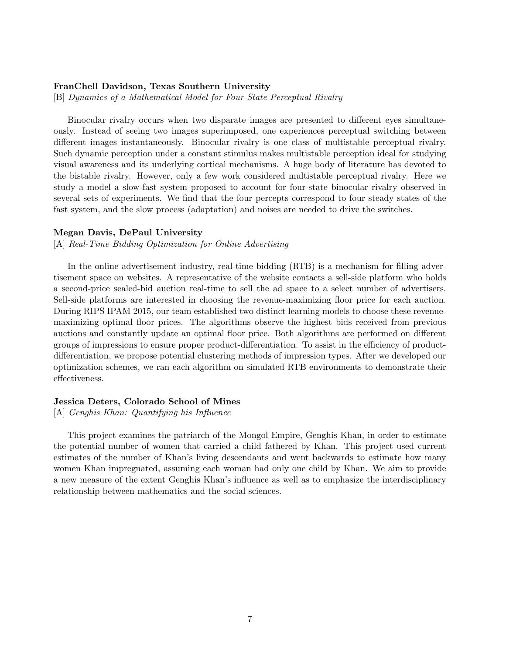#### FranChell Davidson, Texas Southern University

[B] Dynamics of a Mathematical Model for Four-State Perceptual Rivalry

Binocular rivalry occurs when two disparate images are presented to different eyes simultaneously. Instead of seeing two images superimposed, one experiences perceptual switching between different images instantaneously. Binocular rivalry is one class of multistable perceptual rivalry. Such dynamic perception under a constant stimulus makes multistable perception ideal for studying visual awareness and its underlying cortical mechanisms. A huge body of literature has devoted to the bistable rivalry. However, only a few work considered multistable perceptual rivalry. Here we study a model a slow-fast system proposed to account for four-state binocular rivalry observed in several sets of experiments. We find that the four percepts correspond to four steady states of the fast system, and the slow process (adaptation) and noises are needed to drive the switches.

#### Megan Davis, DePaul University

[A] Real-Time Bidding Optimization for Online Advertising

In the online advertisement industry, real-time bidding (RTB) is a mechanism for filling advertisement space on websites. A representative of the website contacts a sell-side platform who holds a second-price sealed-bid auction real-time to sell the ad space to a select number of advertisers. Sell-side platforms are interested in choosing the revenue-maximizing floor price for each auction. During RIPS IPAM 2015, our team established two distinct learning models to choose these revenuemaximizing optimal floor prices. The algorithms observe the highest bids received from previous auctions and constantly update an optimal floor price. Both algorithms are performed on different groups of impressions to ensure proper product-differentiation. To assist in the efficiency of productdifferentiation, we propose potential clustering methods of impression types. After we developed our optimization schemes, we ran each algorithm on simulated RTB environments to demonstrate their effectiveness.

#### Jessica Deters, Colorado School of Mines

[A] Genghis Khan: Quantifying his Influence

This project examines the patriarch of the Mongol Empire, Genghis Khan, in order to estimate the potential number of women that carried a child fathered by Khan. This project used current estimates of the number of Khan's living descendants and went backwards to estimate how many women Khan impregnated, assuming each woman had only one child by Khan. We aim to provide a new measure of the extent Genghis Khan's influence as well as to emphasize the interdisciplinary relationship between mathematics and the social sciences.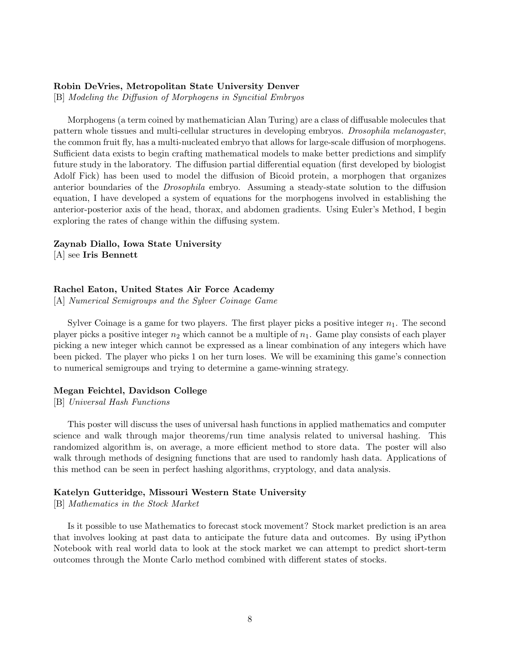#### Robin DeVries, Metropolitan State University Denver

[B] Modeling the Diffusion of Morphogens in Syncitial Embryos

Morphogens (a term coined by mathematician Alan Turing) are a class of diffusable molecules that pattern whole tissues and multi-cellular structures in developing embryos. Drosophila melanogaster, the common fruit fly, has a multi-nucleated embryo that allows for large-scale diffusion of morphogens. Sufficient data exists to begin crafting mathematical models to make better predictions and simplify future study in the laboratory. The diffusion partial differential equation (first developed by biologist Adolf Fick) has been used to model the diffusion of Bicoid protein, a morphogen that organizes anterior boundaries of the Drosophila embryo. Assuming a steady-state solution to the diffusion equation, I have developed a system of equations for the morphogens involved in establishing the anterior-posterior axis of the head, thorax, and abdomen gradients. Using Euler's Method, I begin exploring the rates of change within the diffusing system.

#### Zaynab Diallo, Iowa State University

[A] see Iris Bennett

#### Rachel Eaton, United States Air Force Academy

[A] Numerical Semigroups and the Sylver Coinage Game

Sylver Coinage is a game for two players. The first player picks a positive integer  $n_1$ . The second player picks a positive integer  $n_2$  which cannot be a multiple of  $n_1$ . Game play consists of each player picking a new integer which cannot be expressed as a linear combination of any integers which have been picked. The player who picks 1 on her turn loses. We will be examining this game's connection to numerical semigroups and trying to determine a game-winning strategy.

#### Megan Feichtel, Davidson College

[B] Universal Hash Functions

This poster will discuss the uses of universal hash functions in applied mathematics and computer science and walk through major theorems/run time analysis related to universal hashing. This randomized algorithm is, on average, a more efficient method to store data. The poster will also walk through methods of designing functions that are used to randomly hash data. Applications of this method can be seen in perfect hashing algorithms, cryptology, and data analysis.

#### Katelyn Gutteridge, Missouri Western State University

[B] Mathematics in the Stock Market

Is it possible to use Mathematics to forecast stock movement? Stock market prediction is an area that involves looking at past data to anticipate the future data and outcomes. By using iPython Notebook with real world data to look at the stock market we can attempt to predict short-term outcomes through the Monte Carlo method combined with different states of stocks.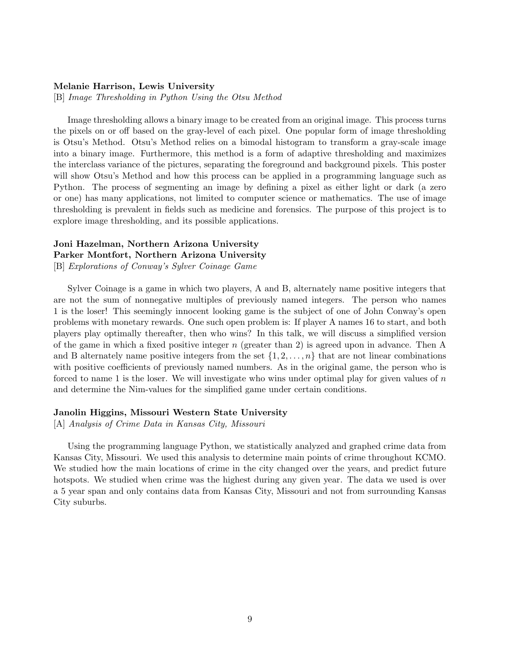#### Melanie Harrison, Lewis University

[B] Image Thresholding in Python Using the Otsu Method

Image thresholding allows a binary image to be created from an original image. This process turns the pixels on or off based on the gray-level of each pixel. One popular form of image thresholding is Otsu's Method. Otsu's Method relies on a bimodal histogram to transform a gray-scale image into a binary image. Furthermore, this method is a form of adaptive thresholding and maximizes the interclass variance of the pictures, separating the foreground and background pixels. This poster will show Otsu's Method and how this process can be applied in a programming language such as Python. The process of segmenting an image by defining a pixel as either light or dark (a zero or one) has many applications, not limited to computer science or mathematics. The use of image thresholding is prevalent in fields such as medicine and forensics. The purpose of this project is to explore image thresholding, and its possible applications.

# Joni Hazelman, Northern Arizona University Parker Montfort, Northern Arizona University

[B] Explorations of Conway's Sylver Coinage Game

Sylver Coinage is a game in which two players, A and B, alternately name positive integers that are not the sum of nonnegative multiples of previously named integers. The person who names 1 is the loser! This seemingly innocent looking game is the subject of one of John Conway's open problems with monetary rewards. One such open problem is: If player A names 16 to start, and both players play optimally thereafter, then who wins? In this talk, we will discuss a simplified version of the game in which a fixed positive integer  $n$  (greater than 2) is agreed upon in advance. Then A and B alternately name positive integers from the set  $\{1, 2, \ldots, n\}$  that are not linear combinations with positive coefficients of previously named numbers. As in the original game, the person who is forced to name 1 is the loser. We will investigate who wins under optimal play for given values of  $n$ and determine the Nim-values for the simplified game under certain conditions.

#### Janolin Higgins, Missouri Western State University

[A] Analysis of Crime Data in Kansas City, Missouri

Using the programming language Python, we statistically analyzed and graphed crime data from Kansas City, Missouri. We used this analysis to determine main points of crime throughout KCMO. We studied how the main locations of crime in the city changed over the years, and predict future hotspots. We studied when crime was the highest during any given year. The data we used is over a 5 year span and only contains data from Kansas City, Missouri and not from surrounding Kansas City suburbs.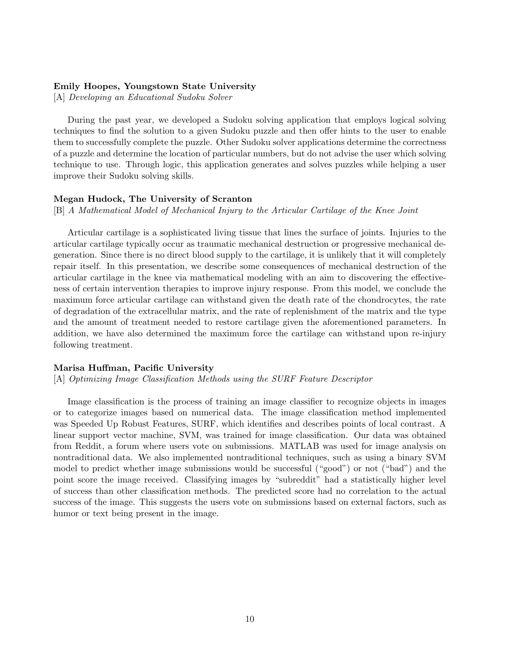#### Emily Hoopes, Youngstown State University

[A] Developing an Educational Sudoku Solver

During the past year, we developed a Sudoku solving application that employs logical solving techniques to find the solution to a given Sudoku puzzle and then offer hints to the user to enable them to successfully complete the puzzle. Other Sudoku solver applications determine the correctness of a puzzle and determine the location of particular numbers, but do not advise the user which solving technique to use. Through logic, this application generates and solves puzzles while helping a user improve their Sudoku solving skills.

#### Megan Hudock, The University of Scranton

[B] A Mathematical Model of Mechanical Injury to the Articular Cartilage of the Knee Joint

Articular cartilage is a sophisticated living tissue that lines the surface of joints. Injuries to the articular cartilage typically occur as traumatic mechanical destruction or progressive mechanical degeneration. Since there is no direct blood supply to the cartilage, it is unlikely that it will completely repair itself. In this presentation, we describe some consequences of mechanical destruction of the articular cartilage in the knee via mathematical modeling with an aim to discovering the effectiveness of certain intervention therapies to improve injury response. From this model, we conclude the maximum force articular cartilage can withstand given the death rate of the chondrocytes, the rate of degradation of the extracellular matrix, and the rate of replenishment of the matrix and the type and the amount of treatment needed to restore cartilage given the aforementioned parameters. In addition, we have also determined the maximum force the cartilage can withstand upon re-injury following treatment.

#### Marisa Huffman, Pacific University

[A] Optimizing Image Classification Methods using the SURF Feature Descriptor

Image classification is the process of training an image classifier to recognize objects in images or to categorize images based on numerical data. The image classification method implemented was Speeded Up Robust Features, SURF, which identifies and describes points of local contrast. A linear support vector machine, SVM, was trained for image classification. Our data was obtained from Reddit, a forum where users vote on submissions. MATLAB was used for image analysis on nontraditional data. We also implemented nontraditional techniques, such as using a binary SVM model to predict whether image submissions would be successful ("good") or not ("bad") and the point score the image received. Classifying images by "subreddit" had a statistically higher level of success than other classification methods. The predicted score had no correlation to the actual success of the image. This suggests the users vote on submissions based on external factors, such as humor or text being present in the image.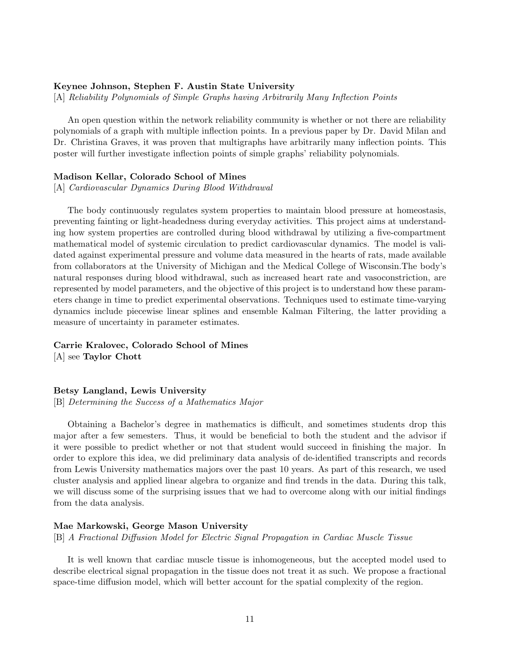#### Keynee Johnson, Stephen F. Austin State University

[A] Reliability Polynomials of Simple Graphs having Arbitrarily Many Inflection Points

An open question within the network reliability community is whether or not there are reliability polynomials of a graph with multiple inflection points. In a previous paper by Dr. David Milan and Dr. Christina Graves, it was proven that multigraphs have arbitrarily many inflection points. This poster will further investigate inflection points of simple graphs' reliability polynomials.

#### Madison Kellar, Colorado School of Mines

[A] Cardiovascular Dynamics During Blood Withdrawal

The body continuously regulates system properties to maintain blood pressure at homeostasis, preventing fainting or light-headedness during everyday activities. This project aims at understanding how system properties are controlled during blood withdrawal by utilizing a five-compartment mathematical model of systemic circulation to predict cardiovascular dynamics. The model is validated against experimental pressure and volume data measured in the hearts of rats, made available from collaborators at the University of Michigan and the Medical College of Wisconsin.The body's natural responses during blood withdrawal, such as increased heart rate and vasoconstriction, are represented by model parameters, and the objective of this project is to understand how these parameters change in time to predict experimental observations. Techniques used to estimate time-varying dynamics include piecewise linear splines and ensemble Kalman Filtering, the latter providing a measure of uncertainty in parameter estimates.

# Carrie Kralovec, Colorado School of Mines

[A] see Taylor Chott

#### Betsy Langland, Lewis University

[B] Determining the Success of a Mathematics Major

Obtaining a Bachelor's degree in mathematics is difficult, and sometimes students drop this major after a few semesters. Thus, it would be beneficial to both the student and the advisor if it were possible to predict whether or not that student would succeed in finishing the major. In order to explore this idea, we did preliminary data analysis of de-identified transcripts and records from Lewis University mathematics majors over the past 10 years. As part of this research, we used cluster analysis and applied linear algebra to organize and find trends in the data. During this talk, we will discuss some of the surprising issues that we had to overcome along with our initial findings from the data analysis.

#### Mae Markowski, George Mason University

[B] A Fractional Diffusion Model for Electric Signal Propagation in Cardiac Muscle Tissue

It is well known that cardiac muscle tissue is inhomogeneous, but the accepted model used to describe electrical signal propagation in the tissue does not treat it as such. We propose a fractional space-time diffusion model, which will better account for the spatial complexity of the region.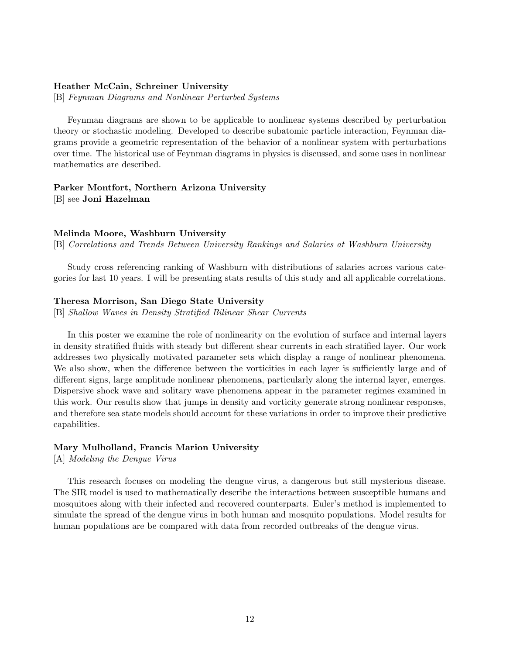#### Heather McCain, Schreiner University

[B] Feynman Diagrams and Nonlinear Perturbed Systems

Feynman diagrams are shown to be applicable to nonlinear systems described by perturbation theory or stochastic modeling. Developed to describe subatomic particle interaction, Feynman diagrams provide a geometric representation of the behavior of a nonlinear system with perturbations over time. The historical use of Feynman diagrams in physics is discussed, and some uses in nonlinear mathematics are described.

## Parker Montfort, Northern Arizona University [B] see Joni Hazelman

#### Melinda Moore, Washburn University

[B] Correlations and Trends Between University Rankings and Salaries at Washburn University

Study cross referencing ranking of Washburn with distributions of salaries across various categories for last 10 years. I will be presenting stats results of this study and all applicable correlations.

#### Theresa Morrison, San Diego State University

[B] Shallow Waves in Density Stratified Bilinear Shear Currents

In this poster we examine the role of nonlinearity on the evolution of surface and internal layers in density stratified fluids with steady but different shear currents in each stratified layer. Our work addresses two physically motivated parameter sets which display a range of nonlinear phenomena. We also show, when the difference between the vorticities in each layer is sufficiently large and of different signs, large amplitude nonlinear phenomena, particularly along the internal layer, emerges. Dispersive shock wave and solitary wave phenomena appear in the parameter regimes examined in this work. Our results show that jumps in density and vorticity generate strong nonlinear responses, and therefore sea state models should account for these variations in order to improve their predictive capabilities.

#### Mary Mulholland, Francis Marion University

[A] Modeling the Dengue Virus

This research focuses on modeling the dengue virus, a dangerous but still mysterious disease. The SIR model is used to mathematically describe the interactions between susceptible humans and mosquitoes along with their infected and recovered counterparts. Euler's method is implemented to simulate the spread of the dengue virus in both human and mosquito populations. Model results for human populations are be compared with data from recorded outbreaks of the dengue virus.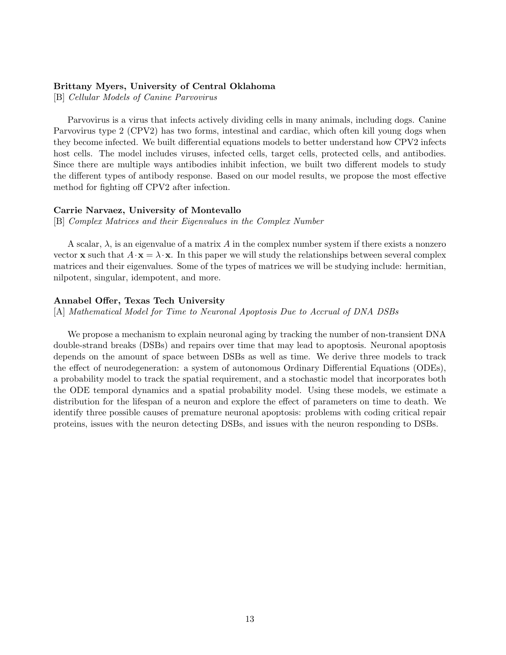#### Brittany Myers, University of Central Oklahoma

[B] Cellular Models of Canine Parvovirus

Parvovirus is a virus that infects actively dividing cells in many animals, including dogs. Canine Parvovirus type 2 (CPV2) has two forms, intestinal and cardiac, which often kill young dogs when they become infected. We built differential equations models to better understand how CPV2 infects host cells. The model includes viruses, infected cells, target cells, protected cells, and antibodies. Since there are multiple ways antibodies inhibit infection, we built two different models to study the different types of antibody response. Based on our model results, we propose the most effective method for fighting off CPV2 after infection.

#### Carrie Narvaez, University of Montevallo

[B] Complex Matrices and their Eigenvalues in the Complex Number

A scalar,  $\lambda$ , is an eigenvalue of a matrix A in the complex number system if there exists a nonzero vector **x** such that  $A \cdot \mathbf{x} = \lambda \cdot \mathbf{x}$ . In this paper we will study the relationships between several complex matrices and their eigenvalues. Some of the types of matrices we will be studying include: hermitian, nilpotent, singular, idempotent, and more.

#### Annabel Offer, Texas Tech University

[A] Mathematical Model for Time to Neuronal Apoptosis Due to Accrual of DNA DSBs

We propose a mechanism to explain neuronal aging by tracking the number of non-transient DNA double-strand breaks (DSBs) and repairs over time that may lead to apoptosis. Neuronal apoptosis depends on the amount of space between DSBs as well as time. We derive three models to track the effect of neurodegeneration: a system of autonomous Ordinary Differential Equations (ODEs), a probability model to track the spatial requirement, and a stochastic model that incorporates both the ODE temporal dynamics and a spatial probability model. Using these models, we estimate a distribution for the lifespan of a neuron and explore the effect of parameters on time to death. We identify three possible causes of premature neuronal apoptosis: problems with coding critical repair proteins, issues with the neuron detecting DSBs, and issues with the neuron responding to DSBs.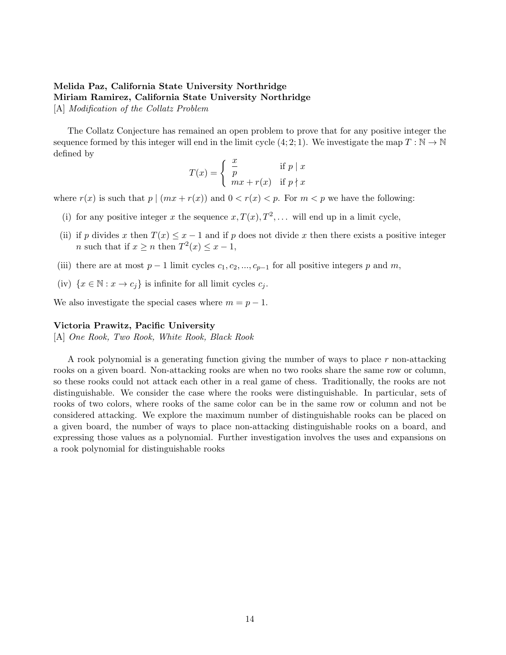# Melida Paz, California State University Northridge Miriam Ramirez, California State University Northridge

[A] Modification of the Collatz Problem

The Collatz Conjecture has remained an open problem to prove that for any positive integer the sequence formed by this integer will end in the limit cycle  $(4; 2; 1)$ . We investigate the map  $T : \mathbb{N} \to \mathbb{N}$ defined by

$$
T(x) = \begin{cases} \frac{x}{p} & \text{if } p \mid x \\ mx + r(x) & \text{if } p \nmid x \end{cases}
$$

where  $r(x)$  is such that  $p \mid (mx + r(x))$  and  $0 < r(x) < p$ . For  $m < p$  we have the following:

- (i) for any positive integer x the sequence  $x, T(x), T^2, \ldots$  will end up in a limit cycle,
- (ii) if p divides x then  $T(x) \leq x 1$  and if p does not divide x then there exists a positive integer *n* such that if  $x \ge n$  then  $T^2(x) \le x - 1$ ,
- (iii) there are at most  $p-1$  limit cycles  $c_1, c_2, ..., c_{p-1}$  for all positive integers p and m,
- (iv)  $\{x \in \mathbb{N} : x \to c_j\}$  is infinite for all limit cycles  $c_j$ .

We also investigate the special cases where  $m = p - 1$ .

#### Victoria Prawitz, Pacific University

[A] One Rook, Two Rook, White Rook, Black Rook

A rook polynomial is a generating function giving the number of ways to place r non-attacking rooks on a given board. Non-attacking rooks are when no two rooks share the same row or column, so these rooks could not attack each other in a real game of chess. Traditionally, the rooks are not distinguishable. We consider the case where the rooks were distinguishable. In particular, sets of rooks of two colors, where rooks of the same color can be in the same row or column and not be considered attacking. We explore the maximum number of distinguishable rooks can be placed on a given board, the number of ways to place non-attacking distinguishable rooks on a board, and expressing those values as a polynomial. Further investigation involves the uses and expansions on a rook polynomial for distinguishable rooks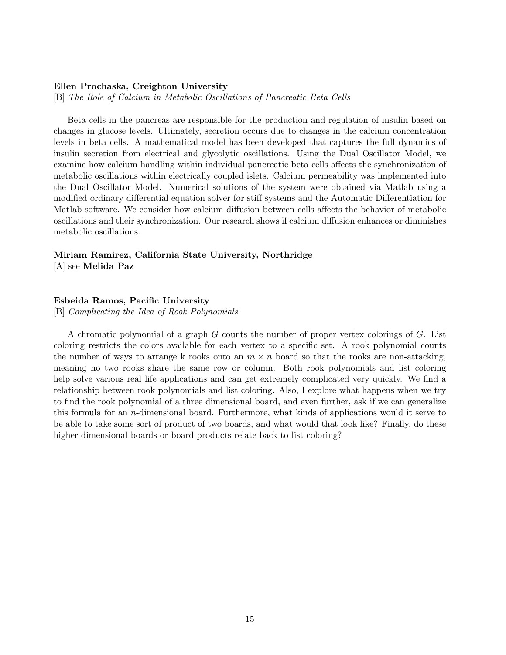#### Ellen Prochaska, Creighton University

[B] The Role of Calcium in Metabolic Oscillations of Pancreatic Beta Cells

Beta cells in the pancreas are responsible for the production and regulation of insulin based on changes in glucose levels. Ultimately, secretion occurs due to changes in the calcium concentration levels in beta cells. A mathematical model has been developed that captures the full dynamics of insulin secretion from electrical and glycolytic oscillations. Using the Dual Oscillator Model, we examine how calcium handling within individual pancreatic beta cells affects the synchronization of metabolic oscillations within electrically coupled islets. Calcium permeability was implemented into the Dual Oscillator Model. Numerical solutions of the system were obtained via Matlab using a modified ordinary differential equation solver for stiff systems and the Automatic Differentiation for Matlab software. We consider how calcium diffusion between cells affects the behavior of metabolic oscillations and their synchronization. Our research shows if calcium diffusion enhances or diminishes metabolic oscillations.

# Miriam Ramirez, California State University, Northridge

[A] see Melida Paz

#### Esbeida Ramos, Pacific University

[B] Complicating the Idea of Rook Polynomials

A chromatic polynomial of a graph G counts the number of proper vertex colorings of G. List coloring restricts the colors available for each vertex to a specific set. A rook polynomial counts the number of ways to arrange k rooks onto an  $m \times n$  board so that the rooks are non-attacking, meaning no two rooks share the same row or column. Both rook polynomials and list coloring help solve various real life applications and can get extremely complicated very quickly. We find a relationship between rook polynomials and list coloring. Also, I explore what happens when we try to find the rook polynomial of a three dimensional board, and even further, ask if we can generalize this formula for an  $n$ -dimensional board. Furthermore, what kinds of applications would it serve to be able to take some sort of product of two boards, and what would that look like? Finally, do these higher dimensional boards or board products relate back to list coloring?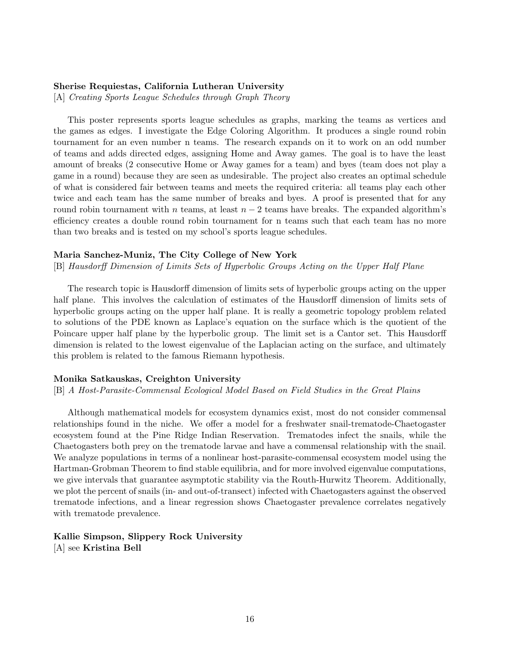#### Sherise Requiestas, California Lutheran University

[A] Creating Sports League Schedules through Graph Theory

This poster represents sports league schedules as graphs, marking the teams as vertices and the games as edges. I investigate the Edge Coloring Algorithm. It produces a single round robin tournament for an even number n teams. The research expands on it to work on an odd number of teams and adds directed edges, assigning Home and Away games. The goal is to have the least amount of breaks (2 consecutive Home or Away games for a team) and byes (team does not play a game in a round) because they are seen as undesirable. The project also creates an optimal schedule of what is considered fair between teams and meets the required criteria: all teams play each other twice and each team has the same number of breaks and byes. A proof is presented that for any round robin tournament with n teams, at least  $n-2$  teams have breaks. The expanded algorithm's efficiency creates a double round robin tournament for n teams such that each team has no more than two breaks and is tested on my school's sports league schedules.

#### Maria Sanchez-Muniz, The City College of New York

[B] Hausdorff Dimension of Limits Sets of Hyperbolic Groups Acting on the Upper Half Plane

The research topic is Hausdorff dimension of limits sets of hyperbolic groups acting on the upper half plane. This involves the calculation of estimates of the Hausdorff dimension of limits sets of hyperbolic groups acting on the upper half plane. It is really a geometric topology problem related to solutions of the PDE known as Laplace's equation on the surface which is the quotient of the Poincare upper half plane by the hyperbolic group. The limit set is a Cantor set. This Hausdorff dimension is related to the lowest eigenvalue of the Laplacian acting on the surface, and ultimately this problem is related to the famous Riemann hypothesis.

#### Monika Satkauskas, Creighton University

[B] A Host-Parasite-Commensal Ecological Model Based on Field Studies in the Great Plains

Although mathematical models for ecosystem dynamics exist, most do not consider commensal relationships found in the niche. We offer a model for a freshwater snail-trematode-Chaetogaster ecosystem found at the Pine Ridge Indian Reservation. Trematodes infect the snails, while the Chaetogasters both prey on the trematode larvae and have a commensal relationship with the snail. We analyze populations in terms of a nonlinear host-parasite-commensal ecosystem model using the Hartman-Grobman Theorem to find stable equilibria, and for more involved eigenvalue computations, we give intervals that guarantee asymptotic stability via the Routh-Hurwitz Theorem. Additionally, we plot the percent of snails (in- and out-of-transect) infected with Chaetogasters against the observed trematode infections, and a linear regression shows Chaetogaster prevalence correlates negatively with trematode prevalence.

## Kallie Simpson, Slippery Rock University [A] see Kristina Bell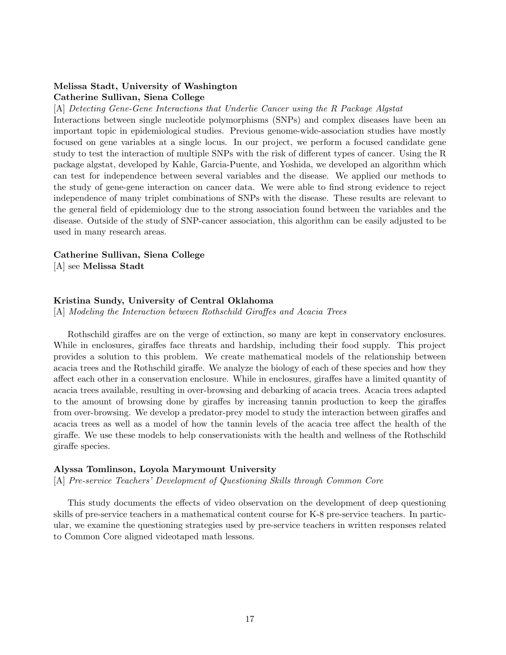## Melissa Stadt, University of Washington Catherine Sullivan, Siena College

[A] Detecting Gene-Gene Interactions that Underlie Cancer using the R Package Algstat

Interactions between single nucleotide polymorphisms (SNPs) and complex diseases have been an important topic in epidemiological studies. Previous genome-wide-association studies have mostly focused on gene variables at a single locus. In our project, we perform a focused candidate gene study to test the interaction of multiple SNPs with the risk of different types of cancer. Using the R package algstat, developed by Kahle, Garcia-Puente, and Yoshida, we developed an algorithm which can test for independence between several variables and the disease. We applied our methods to the study of gene-gene interaction on cancer data. We were able to find strong evidence to reject independence of many triplet combinations of SNPs with the disease. These results are relevant to the general field of epidemiology due to the strong association found between the variables and the disease. Outside of the study of SNP-cancer association, this algorithm can be easily adjusted to be used in many research areas.

#### Catherine Sullivan, Siena College

[A] see Melissa Stadt

#### Kristina Sundy, University of Central Oklahoma

[A] Modeling the Interaction between Rothschild Giraffes and Acacia Trees

Rothschild giraffes are on the verge of extinction, so many are kept in conservatory enclosures. While in enclosures, giraffes face threats and hardship, including their food supply. This project provides a solution to this problem. We create mathematical models of the relationship between acacia trees and the Rothschild giraffe. We analyze the biology of each of these species and how they affect each other in a conservation enclosure. While in enclosures, giraffes have a limited quantity of acacia trees available, resulting in over-browsing and debarking of acacia trees. Acacia trees adapted to the amount of browsing done by giraffes by increasing tannin production to keep the giraffes from over-browsing. We develop a predator-prey model to study the interaction between giraffes and acacia trees as well as a model of how the tannin levels of the acacia tree affect the health of the giraffe. We use these models to help conservationists with the health and wellness of the Rothschild giraffe species.

#### Alyssa Tomlinson, Loyola Marymount University

[A] Pre-service Teachers' Development of Questioning Skills through Common Core

This study documents the effects of video observation on the development of deep questioning skills of pre-service teachers in a mathematical content course for K-8 pre-service teachers. In particular, we examine the questioning strategies used by pre-service teachers in written responses related to Common Core aligned videotaped math lessons.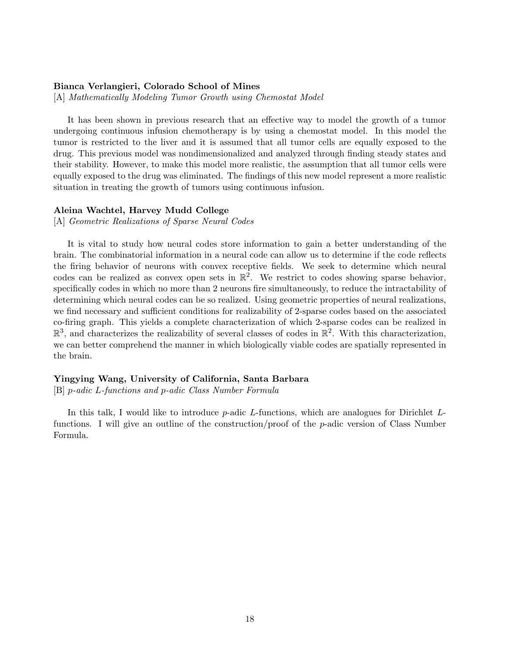#### Bianca Verlangieri, Colorado School of Mines

[A] Mathematically Modeling Tumor Growth using Chemostat Model

It has been shown in previous research that an effective way to model the growth of a tumor undergoing continuous infusion chemotherapy is by using a chemostat model. In this model the tumor is restricted to the liver and it is assumed that all tumor cells are equally exposed to the drug. This previous model was nondimensionalized and analyzed through finding steady states and their stability. However, to make this model more realistic, the assumption that all tumor cells were equally exposed to the drug was eliminated. The findings of this new model represent a more realistic situation in treating the growth of tumors using continuous infusion.

#### Aleina Wachtel, Harvey Mudd College

[A] Geometric Realizations of Sparse Neural Codes

It is vital to study how neural codes store information to gain a better understanding of the brain. The combinatorial information in a neural code can allow us to determine if the code reflects the firing behavior of neurons with convex receptive fields. We seek to determine which neural codes can be realized as convex open sets in  $\mathbb{R}^2$ . We restrict to codes showing sparse behavior, specifically codes in which no more than 2 neurons fire simultaneously, to reduce the intractability of determining which neural codes can be so realized. Using geometric properties of neural realizations, we find necessary and sufficient conditions for realizability of 2-sparse codes based on the associated co-firing graph. This yields a complete characterization of which 2-sparse codes can be realized in  $\mathbb{R}^3$ , and characterizes the realizability of several classes of codes in  $\mathbb{R}^2$ . With this characterization, we can better comprehend the manner in which biologically viable codes are spatially represented in the brain.

#### Yingying Wang, University of California, Santa Barbara

[B] p-adic L-functions and p-adic Class Number Formula

In this talk, I would like to introduce  $p$ -adic L-functions, which are analogues for Dirichlet Lfunctions. I will give an outline of the construction/proof of the p-adic version of Class Number Formula.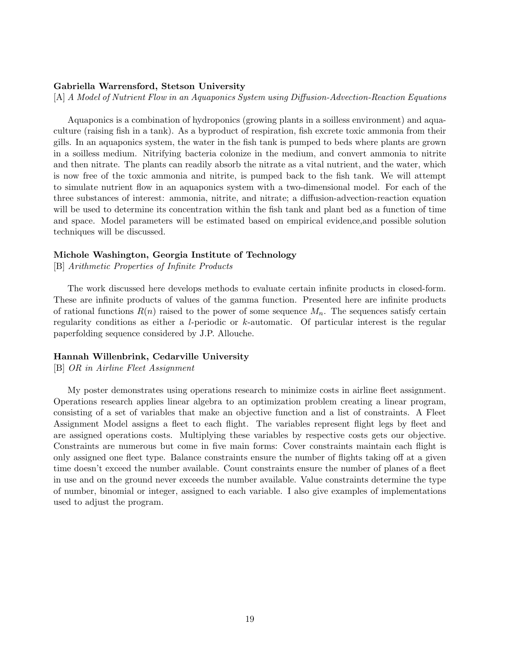#### Gabriella Warrensford, Stetson University

[A] A Model of Nutrient Flow in an Aquaponics System using Diffusion-Advection-Reaction Equations

Aquaponics is a combination of hydroponics (growing plants in a soilless environment) and aquaculture (raising fish in a tank). As a byproduct of respiration, fish excrete toxic ammonia from their gills. In an aquaponics system, the water in the fish tank is pumped to beds where plants are grown in a soilless medium. Nitrifying bacteria colonize in the medium, and convert ammonia to nitrite and then nitrate. The plants can readily absorb the nitrate as a vital nutrient, and the water, which is now free of the toxic ammonia and nitrite, is pumped back to the fish tank. We will attempt to simulate nutrient flow in an aquaponics system with a two-dimensional model. For each of the three substances of interest: ammonia, nitrite, and nitrate; a diffusion-advection-reaction equation will be used to determine its concentration within the fish tank and plant bed as a function of time and space. Model parameters will be estimated based on empirical evidence,and possible solution techniques will be discussed.

#### Michole Washington, Georgia Institute of Technology

[B] Arithmetic Properties of Infinite Products

The work discussed here develops methods to evaluate certain infinite products in closed-form. These are infinite products of values of the gamma function. Presented here are infinite products of rational functions  $R(n)$  raised to the power of some sequence  $M_n$ . The sequences satisfy certain regularity conditions as either a l-periodic or k-automatic. Of particular interest is the regular paperfolding sequence considered by J.P. Allouche.

#### Hannah Willenbrink, Cedarville University

[B] OR in Airline Fleet Assignment

My poster demonstrates using operations research to minimize costs in airline fleet assignment. Operations research applies linear algebra to an optimization problem creating a linear program, consisting of a set of variables that make an objective function and a list of constraints. A Fleet Assignment Model assigns a fleet to each flight. The variables represent flight legs by fleet and are assigned operations costs. Multiplying these variables by respective costs gets our objective. Constraints are numerous but come in five main forms: Cover constraints maintain each flight is only assigned one fleet type. Balance constraints ensure the number of flights taking off at a given time doesn't exceed the number available. Count constraints ensure the number of planes of a fleet in use and on the ground never exceeds the number available. Value constraints determine the type of number, binomial or integer, assigned to each variable. I also give examples of implementations used to adjust the program.